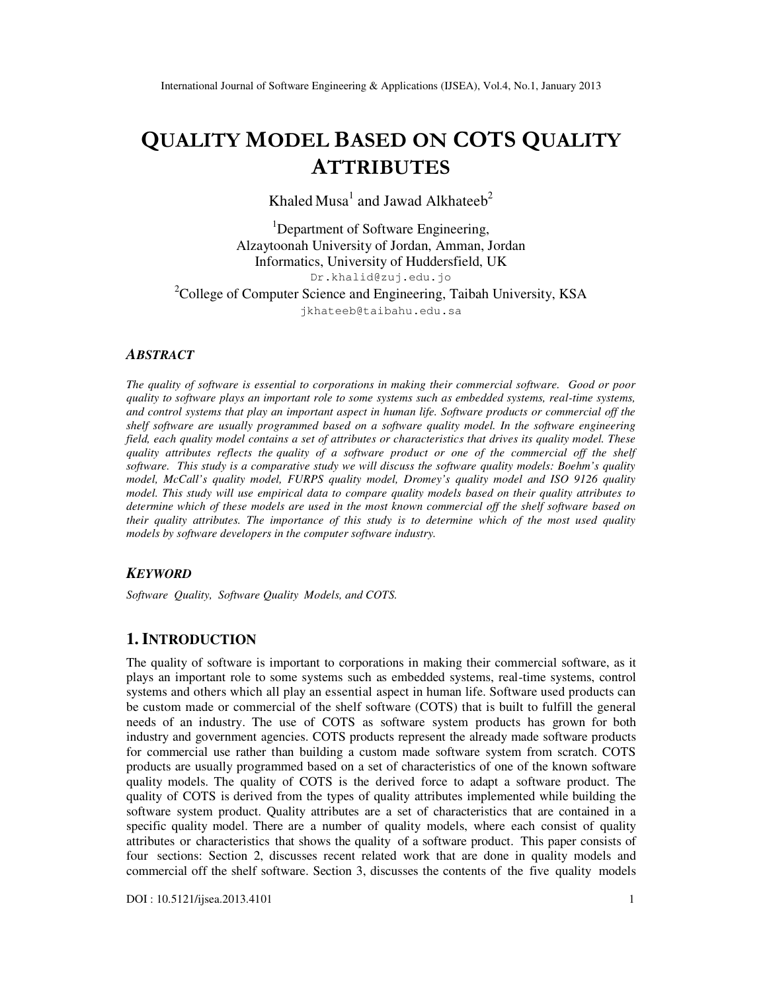# QUALITY MODEL BASED ON COTS QUALITY **ATTRIBUTES**

Khaled Musa $^{\rm l}$  and Jawad Alkhateeb $^{\rm 2}$ 

<sup>1</sup>Department of Software Engineering, Alzaytoonah University of Jordan, Amman, Jordan Informatics, University of Huddersfield, UK Dr.khalid@zuj.edu.jo <sup>2</sup>College of Computer Science and Engineering, Taibah University, KSA

jkhateeb@taibahu.edu.sa

#### *ABSTRACT*

*The quality of software is essential to corporations in making their commercial software. Good or poor quality to software plays an important role to some systems such as embedded systems, real-time systems, and control systems that play an important aspect in human life. Software products or commercial off the shelf software are usually programmed based on a software quality model. In the software engineering field, each quality model contains a set of attributes or characteristics that drives its quality model. These quality attributes reflects the quality of a software product or one of the commercial off the shelf software. This study is a comparative study we will discuss the software quality models: Boehm's quality model, McCall's quality model, FURPS quality model, Dromey's quality model and ISO 9126 quality model. This study will use empirical data to compare quality models based on their quality attributes to determine which of these models are used in the most known commercial off the shelf software based on their quality attributes. The importance of this study is to determine which of the most used quality models by software developers in the computer software industry.*

#### *KEYWORD*

*Software Quality, Software Quality Models, and COTS.* 

## **1. INTRODUCTION**

The quality of software is important to corporations in making their commercial software, as it plays an important role to some systems such as embedded systems, real-time systems, control systems and others which all play an essential aspect in human life. Software used products can be custom made or commercial of the shelf software (COTS) that is built to fulfill the general needs of an industry. The use of COTS as software system products has grown for both industry and government agencies. COTS products represent the already made software products for commercial use rather than building a custom made software system from scratch. COTS products are usually programmed based on a set of characteristics of one of the known software quality models. The quality of COTS is the derived force to adapt a software product. The quality of COTS is derived from the types of quality attributes implemented while building the software system product. Quality attributes are a set of characteristics that are contained in a specific quality model. There are a number of quality models, where each consist of quality attributes or characteristics that shows the quality of a software product. This paper consists of four sections: Section 2, discusses recent related work that are done in quality models and commercial off the shelf software. Section 3, discusses the contents of the five quality models

DOI : 10.5121/ijsea.2013.4101 1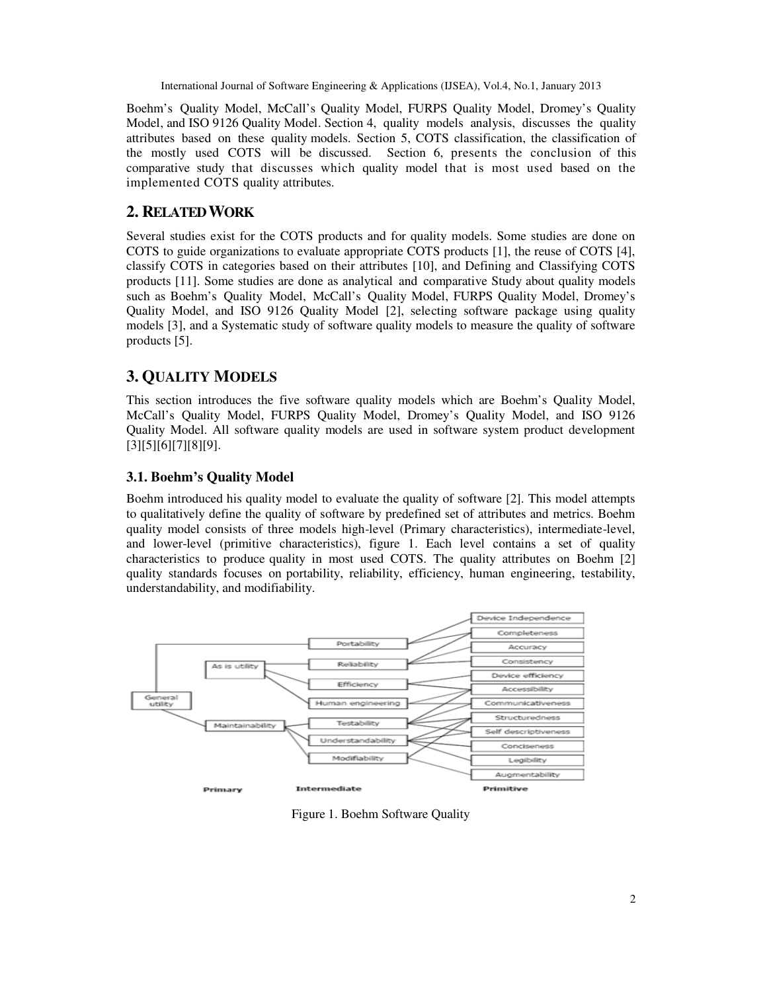Boehm's Quality Model, McCall's Quality Model, FURPS Quality Model, Dromey's Quality Model, and ISO 9126 Quality Model. Section 4, quality models analysis, discusses the quality attributes based on these quality models. Section 5, COTS classification, the classification of the mostly used COTS will be discussed. Section 6, presents the conclusion of this comparative study that discusses which quality model that is most used based on the implemented COTS quality attributes.

# **2. RELATED WORK**

Several studies exist for the COTS products and for quality models. Some studies are done on COTS to guide organizations to evaluate appropriate COTS products [1], the reuse of COTS [4], classify COTS in categories based on their attributes [10], and Defining and Classifying COTS products [11]. Some studies are done as analytical and comparative Study about quality models such as Boehm's Quality Model, McCall's Quality Model, FURPS Quality Model, Dromey's Quality Model, and ISO 9126 Quality Model [2], selecting software package using quality models [3], and a Systematic study of software quality models to measure the quality of software products [5].

# **3. QUALITY MODELS**

This section introduces the five software quality models which are Boehm's Quality Model, McCall's Quality Model, FURPS Quality Model, Dromey's Quality Model, and ISO 9126 Quality Model. All software quality models are used in software system product development [3][5][6][7][8][9].

## **3.1. Boehm's Quality Model**

Boehm introduced his quality model to evaluate the quality of software [2]. This model attempts to qualitatively define the quality of software by predefined set of attributes and metrics. Boehm quality model consists of three models high-level (Primary characteristics), intermediate-level, and lower-level (primitive characteristics), figure 1. Each level contains a set of quality characteristics to produce quality in most used COTS. The quality attributes on Boehm [2] quality standards focuses on portability, reliability, efficiency, human engineering, testability, understandability, and modifiability.



Figure 1. Boehm Software Quality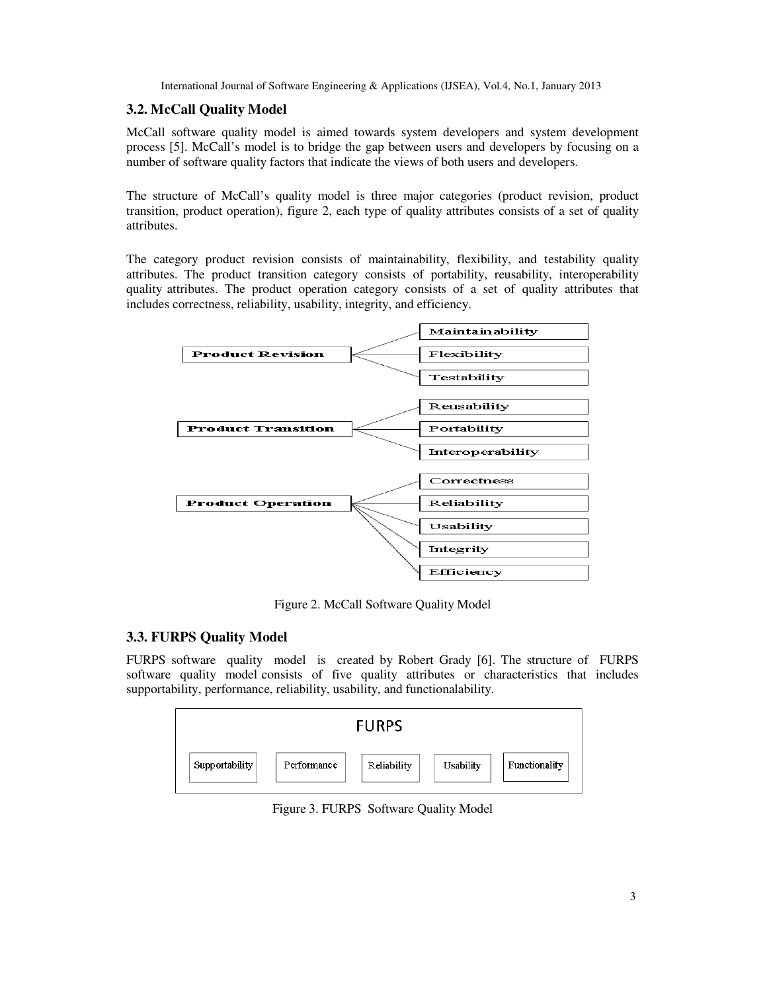# **3.2. McCall Quality Model**

McCall software quality model is aimed towards system developers and system development process [5]. McCall's model is to bridge the gap between users and developers by focusing on a number of software quality factors that indicate the views of both users and developers.

The structure of McCall's quality model is three major categories (product revision, product transition, product operation), figure 2, each type of quality attributes consists of a set of quality attributes.

The category product revision consists of maintainability, flexibility, and testability quality attributes. The product transition category consists of portability, reusability, interoperability quality attributes. The product operation category consists of a set of quality attributes that includes correctness, reliability, usability, integrity, and efficiency.



Figure 2. McCall Software Quality Model

## **3.3. FURPS Quality Model**

FURPS software quality model is created by Robert Grady [6]. The structure of FURPS software quality model consists of five quality attributes or characteristics that includes supportability, performance, reliability, usability, and functionalability.



Figure 3. FURPS Software Quality Model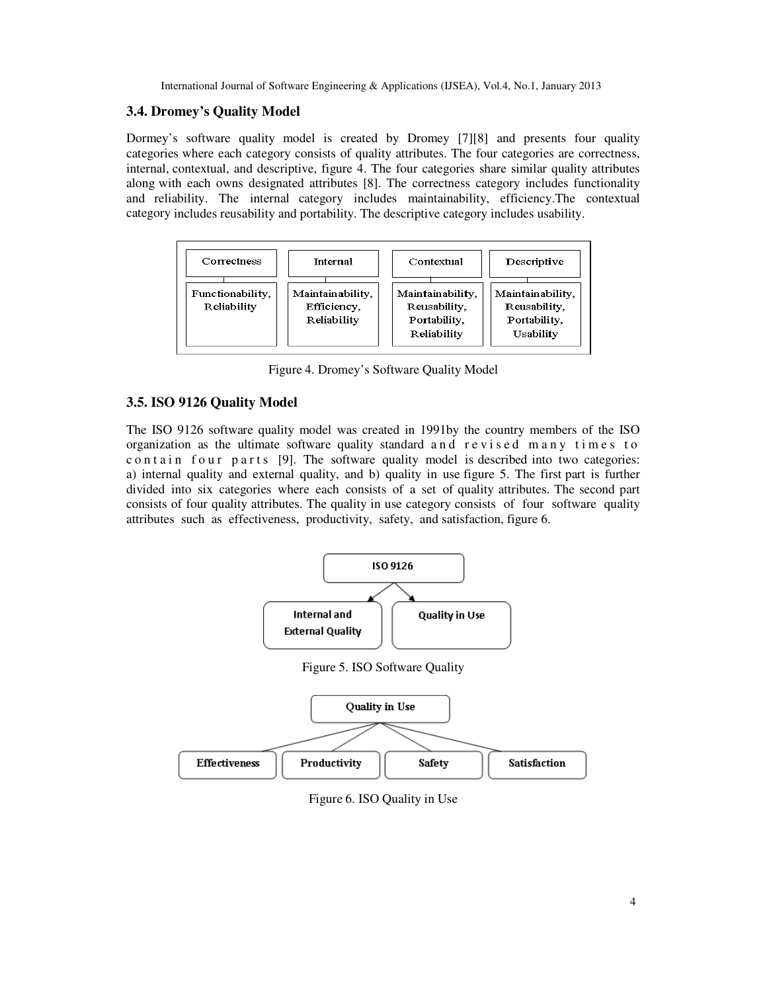#### **3.4. Dromey's Quality Model**

Dormey's software quality model is created by Dromey [7][8] and presents four quality categories where each category consists of quality attributes. The four categories are correctness, internal, contextual, and descriptive, figure 4. The four categories share similar quality attributes along with each owns designated attributes [8]. The correctness category includes functionality and reliability. The internal category includes maintainability, efficiency.The contextual category includes reusability and portability. The descriptive category includes usability.

| Correctness                     | <b>Internal</b>                                | Contextual                                                      | Descriptive                                                   |  |
|---------------------------------|------------------------------------------------|-----------------------------------------------------------------|---------------------------------------------------------------|--|
| Functionability,<br>Reliability | Maintainability,<br>Efficiency,<br>Reliability | Maintainability,<br>Reusability,<br>Portability,<br>Reliability | Maintainability,<br>Reusability,<br>Portability,<br>Usability |  |

Figure 4. Dromey's Software Quality Model

## **3.5. ISO 9126 Quality Model**

The ISO 9126 software quality model was created in 1991by the country members of the ISO organization as the ultimate software quality standard and revised many times to c o n t a in f o u r parts  $[9]$ . The software quality model is described into two categories: a) internal quality and external quality, and b) quality in use figure 5. The first part is further divided into six categories where each consists of a set of quality attributes. The second part consists of four quality attributes. The quality in use category consists of four software quality attributes such as effectiveness, productivity, safety, and satisfaction, figure 6.



Figure 6. ISO Quality in Use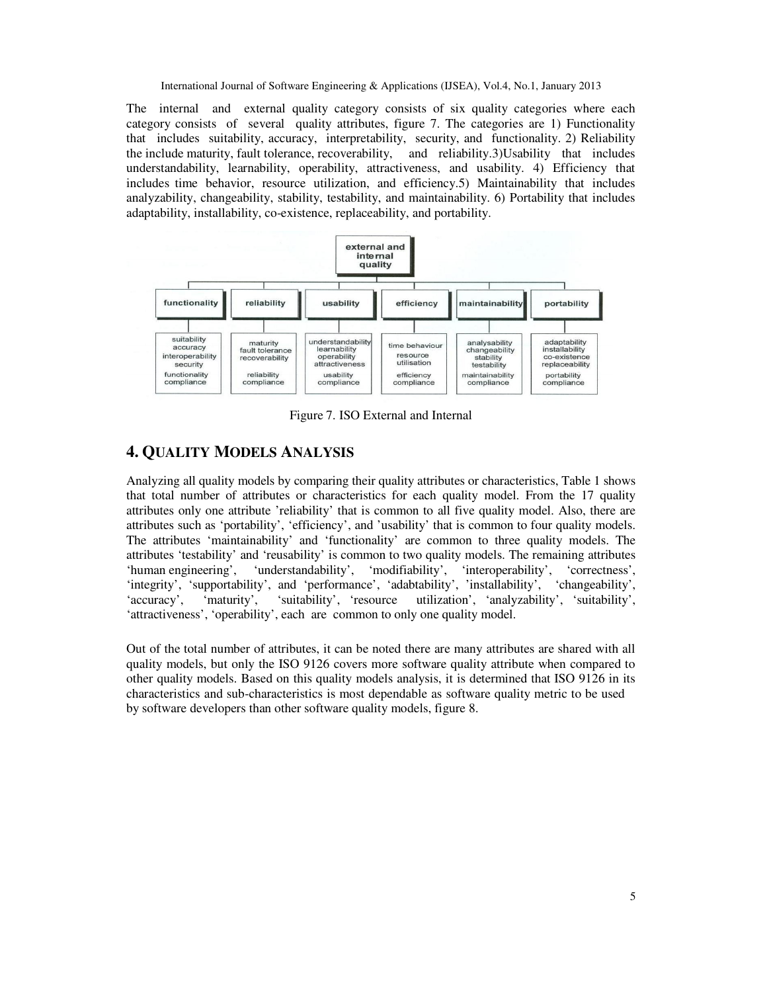The internal and external quality category consists of six quality categories where each category consists of several quality attributes, figure 7. The categories are 1) Functionality that includes suitability, accuracy, interpretability, security, and functionality. 2) Reliability the include maturity, fault tolerance, recoverability, and reliability.3)Usability that includes understandability, learnability, operability, attractiveness, and usability. 4) Efficiency that includes time behavior, resource utilization, and efficiency.5) Maintainability that includes analyzability, changeability, stability, testability, and maintainability. 6) Portability that includes adaptability, installability, co-existence, replaceability, and portability.



Figure 7. ISO External and Internal

# **4. QUALITY MODELS ANALYSIS**

Analyzing all quality models by comparing their quality attributes or characteristics, Table 1 shows that total number of attributes or characteristics for each quality model. From the 17 quality attributes only one attribute 'reliability' that is common to all five quality model. Also, there are attributes such as 'portability', 'efficiency', and 'usability' that is common to four quality models. The attributes 'maintainability' and 'functionality' are common to three quality models. The attributes 'testability' and 'reusability' is common to two quality models. The remaining attributes 'human engineering', 'understandability', 'modifiability', 'interoperability', 'correctness', 'understandability', 'modifiability', 'interoperability', 'correctness', 'integrity', 'supportability', and 'performance', 'adabtability', 'installability', 'changeability', 'accuracy', 'maturity', 'suitability', 'resource utilization', 'analyzability', 'suitability', 'attractiveness', 'operability', each are common to only one quality model.

Out of the total number of attributes, it can be noted there are many attributes are shared with all quality models, but only the ISO 9126 covers more software quality attribute when compared to other quality models. Based on this quality models analysis, it is determined that ISO 9126 in its characteristics and sub-characteristics is most dependable as software quality metric to be used by software developers than other software quality models, figure 8.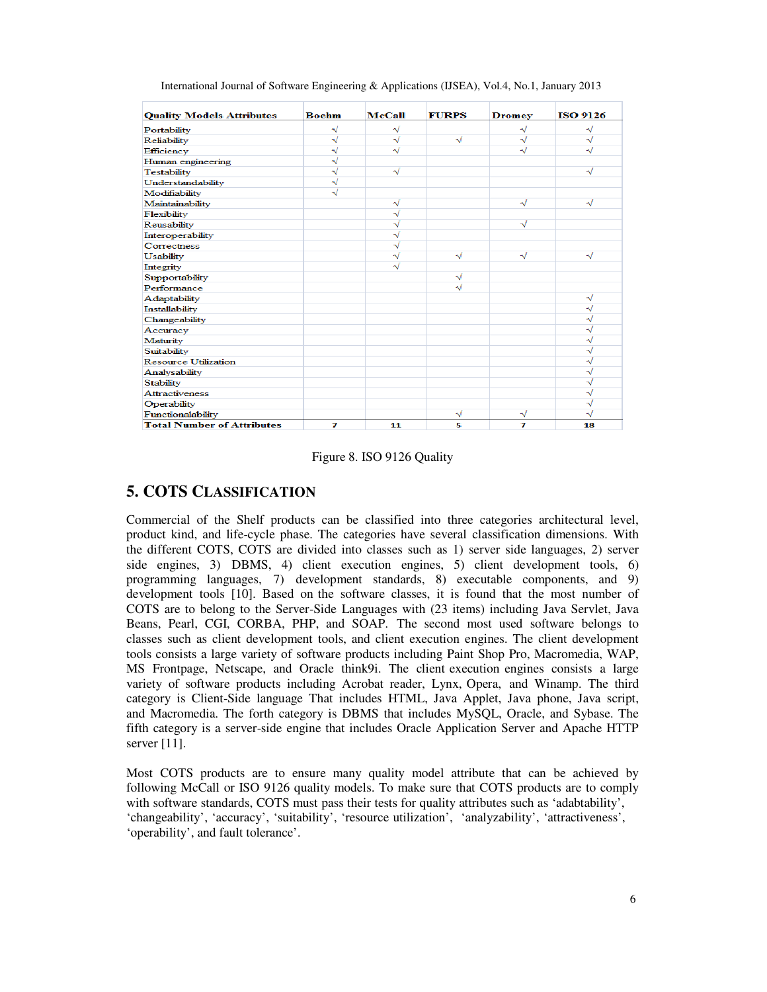| <b>Quality Models Attributes</b>  | <b>Boehm</b> | <b>McCall</b>         | <b>FURPS</b> | <b>Dromey</b> | <b>ISO 9126</b> |
|-----------------------------------|--------------|-----------------------|--------------|---------------|-----------------|
| Portability                       | √            | √                     |              | √             | √               |
| <b>Reliability</b>                | √            | $\overline{\sqrt{ }}$ | $\sqrt{}$    | √             | √               |
| Efficiency                        | √            | N                     |              | N             | √               |
| Human engineering                 | N            |                       |              |               |                 |
| Testability                       | √            | √                     |              |               | √               |
| Understandability                 | √            |                       |              |               |                 |
| Modifiability                     | √            |                       |              |               |                 |
| Maintainability                   |              | $\sqrt{}$             |              | √             | √               |
| Flexibility                       |              | √                     |              |               |                 |
| Reusability                       |              | √                     |              | √             |                 |
| Interoperability                  |              | √                     |              |               |                 |
| Correctness                       |              | √                     |              |               |                 |
| <b>Usability</b>                  |              | √                     | √            | √             | √               |
| Integrity                         |              | ~J                    |              |               |                 |
| Supportability                    |              |                       | √            |               |                 |
| Performance                       |              |                       | √            |               |                 |
| <b>Adaptability</b>               |              |                       |              |               | √               |
| Installability                    |              |                       |              |               | √               |
| Changeability                     |              |                       |              |               | √               |
| Accuracy                          |              |                       |              |               | √               |
| Maturity                          |              |                       |              |               | √               |
| Suitability                       |              |                       |              |               | √               |
| Resource Utilization              |              |                       |              |               | √               |
| Analysability                     |              |                       |              |               | √               |
| Stability                         |              |                       |              |               | √               |
| <b>Attractiveness</b>             |              |                       |              |               | √               |
| Operability                       |              |                       |              |               | √               |
| Functionalability                 |              |                       | √            | √             | √               |
| <b>Total Number of Attributes</b> | 7            | 11                    | 5            | 7             | 18              |

International Journal of Software Engineering & Applications (IJSEA), Vol.4, No.1, January 2013

Figure 8. ISO 9126 Quality

# **5. COTS CLASSIFICATION**

Commercial of the Shelf products can be classified into three categories architectural level, product kind, and life-cycle phase. The categories have several classification dimensions. With the different COTS, COTS are divided into classes such as 1) server side languages, 2) server side engines, 3) DBMS, 4) client execution engines, 5) client development tools, 6) programming languages, 7) development standards, 8) executable components, and 9) development tools [10]. Based on the software classes, it is found that the most number of COTS are to belong to the Server-Side Languages with (23 items) including Java Servlet, Java Beans, Pearl, CGI, CORBA, PHP, and SOAP. The second most used software belongs to classes such as client development tools, and client execution engines. The client development tools consists a large variety of software products including Paint Shop Pro, Macromedia, WAP, MS Frontpage, Netscape, and Oracle think9i. The client execution engines consists a large variety of software products including Acrobat reader, Lynx, Opera, and Winamp. The third category is Client-Side language That includes HTML, Java Applet, Java phone, Java script, and Macromedia. The forth category is DBMS that includes MySQL, Oracle, and Sybase. The fifth category is a server-side engine that includes Oracle Application Server and Apache HTTP server [11].

Most COTS products are to ensure many quality model attribute that can be achieved by following McCall or ISO 9126 quality models. To make sure that COTS products are to comply with software standards, COTS must pass their tests for quality attributes such as 'adabtability', 'changeability', 'accuracy', 'suitability', 'resource utilization', 'analyzability', 'attractiveness', 'operability', and fault tolerance'.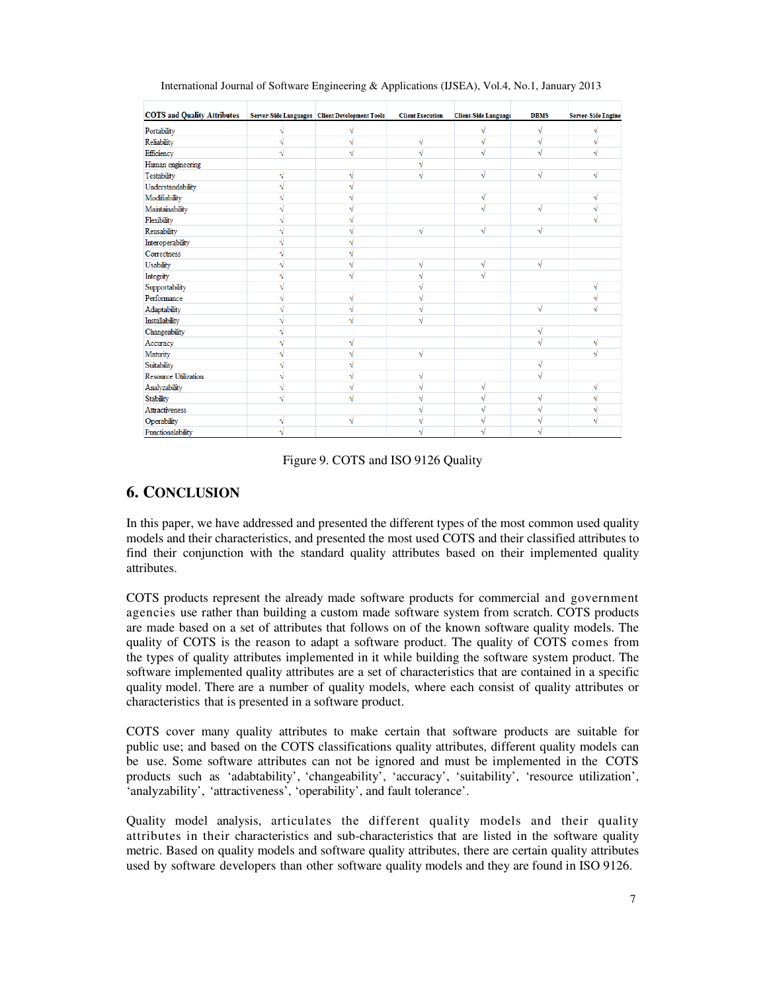| <b>COTS and Quality Attributes</b> |   | Server-Side Languages Client Development Tools | <b>Client Execution</b> | <b>Client-Side Language</b> | <b>DBMS</b> | <b>Server-Side Engine</b> |
|------------------------------------|---|------------------------------------------------|-------------------------|-----------------------------|-------------|---------------------------|
| Portability                        |   |                                                |                         |                             |             |                           |
| Reliability                        |   |                                                |                         |                             |             |                           |
| Efficiency                         | N | ٩                                              |                         |                             | ٨           | N                         |
| Human engineering                  |   |                                                |                         |                             |             |                           |
| Testability                        | N |                                                |                         | √                           | √           | √                         |
| Understandability                  |   |                                                |                         |                             |             |                           |
| Modifiability                      |   |                                                |                         |                             |             | N                         |
| Maintainability                    |   |                                                |                         |                             | $\sqrt{ }$  |                           |
| Flexibility                        |   |                                                |                         |                             |             |                           |
| <b>Reusability</b>                 |   |                                                | √                       | √                           | √           |                           |
| Interoperability                   |   |                                                |                         |                             |             |                           |
| Correctness                        |   |                                                |                         |                             |             |                           |
| <b>Usability</b>                   |   |                                                |                         | V                           | √           |                           |
| Integrity                          |   |                                                |                         |                             |             |                           |
| Supportability                     |   |                                                |                         |                             |             | N                         |
| Performance                        |   |                                                |                         |                             |             |                           |
| Adaptability                       |   |                                                |                         |                             | $\sqrt{}$   | N                         |
| <b>Installability</b>              |   |                                                | ٨                       |                             |             |                           |
| Changeability                      |   |                                                |                         |                             |             |                           |
| Accuracy                           |   |                                                |                         |                             | ٧           | √                         |
| Maturity                           |   |                                                | V                       |                             |             | N                         |
| Suitability                        |   |                                                |                         |                             |             |                           |
| Resource Utilization               |   |                                                |                         |                             | ٨           |                           |
| Analyzability                      |   |                                                |                         |                             |             | N                         |
| Stability                          | √ | N                                              |                         |                             |             |                           |
| <b>Attractiveness</b>              |   |                                                |                         |                             |             |                           |
| Operability                        |   | N                                              |                         |                             |             | N                         |
| Functionalability                  |   |                                                |                         |                             |             |                           |

International Journal of Software Engineering & Applications (IJSEA), Vol.4, No.1, January 2013

#### Figure 9. COTS and ISO 9126 Quality

## **6. CONCLUSION**

In this paper, we have addressed and presented the different types of the most common used quality models and their characteristics, and presented the most used COTS and their classified attributes to find their conjunction with the standard quality attributes based on their implemented quality attributes.

COTS products represent the already made software products for commercial and government agencies use rather than building a custom made software system from scratch. COTS products are made based on a set of attributes that follows on of the known software quality models. The quality of COTS is the reason to adapt a software product. The quality of COTS comes from the types of quality attributes implemented in it while building the software system product. The software implemented quality attributes are a set of characteristics that are contained in a specific quality model. There are a number of quality models, where each consist of quality attributes or characteristics that is presented in a software product.

COTS cover many quality attributes to make certain that software products are suitable for public use; and based on the COTS classifications quality attributes, different quality models can be use. Some software attributes can not be ignored and must be implemented in the COTS products such as 'adabtability', 'changeability', 'accuracy', 'suitability', 'resource utilization', 'analyzability', 'attractiveness', 'operability', and fault tolerance'.

Quality model analysis, articulates the different quality models and their quality attributes in their characteristics and sub-characteristics that are listed in the software quality metric. Based on quality models and software quality attributes, there are certain quality attributes used by software developers than other software quality models and they are found in ISO 9126.